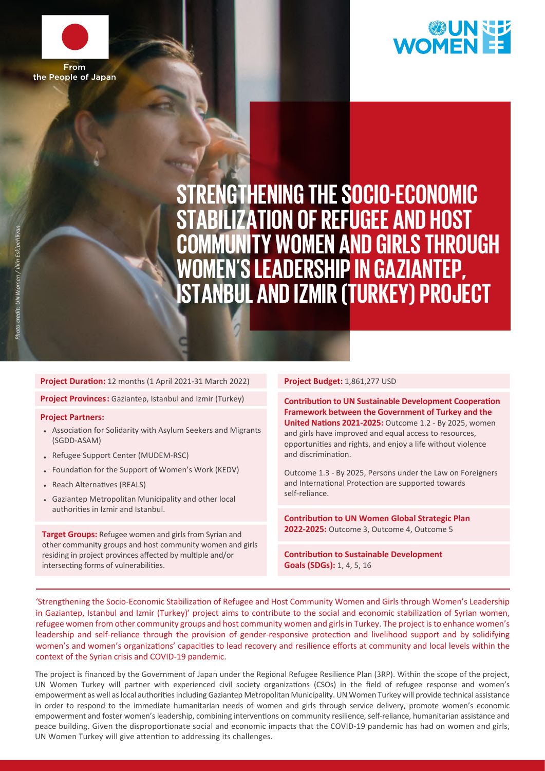



**STRENGTHENING THE SOCIO-ECONOMIC STABILIZATION OF REFUGEE AND HOST COMMUNITY WOMEN AND GIRLS THROUGH WOMEN'S LEADERSHIP IN GAZIANTEP, ISTANBUL ANDIZMIR(TURKEY)PROJECT**

## **Project Duration:** 12 months (1 April 2021-31 March 2022) **Project Budget:** 1,861,277 USD

**Project Provinces:** Gaziantep, Istanbul and Izmir (Turkey)

## **Project Partners:**

- Association for Solidarity with Asylum Seekers and Migrants (SGDD-ASAM)
- . Refugee Support Center (MUDEM-RSC)
- Foundation for the Support of Women's Work (KEDV) •
- Reach Alternatives (REALS)
- Gaziantep Metropolitan Municipality and other local authorities in Izmir and Istanbul.

**Target Groups:** Refugee women and girls from Syrian and other community groups and host community women and girls residing in project provinces affected by multiple and/or intersecting forms of vulnerabilities.

**Contribution to UN Sustainable Development Cooperation Framework between the Government of Turkey and the United Nations 2021-2025:** Outcome 1.2 - By 2025, women and girls have improved and equal access to resources, opportunities and rights, and enjoy a life without violence and discrimination.

Outcome 1.3 - By 2025, Persons under the Law on Foreigners and International Protection are supported towards self-reliance.

**Contribution to UN Women Global Strategic Plan 2022-2025:** Outcome 3, Outcome 4, Outcome 5

**Contribution to Sustainable Development Goals (SDGs):** 1, 4, 5, 16

'Strengthening the Socio-Economic Stabilization of Refugee and Host Community Women and Girls through Women's Leadership in Gaziantep, Istanbul and Izmir (Turkey)' project aims to contribute to the social and economic stabilization of Syrian women, refugee women from other community groups and host community women and girls in Turkey. The project is to enhance women's leadership and self-reliance through the provision of gender-responsive protection and livelihood support and by solidifying women's and women's organizations' capacities to lead recovery and resilience efforts at community and local levels within the context of the Syrian crisis and COVID-19 pandemic.

The project is financed by the Government of Japan under the Regional Refugee Resilience Plan (3RP). Within the scope of the project, UN Women Turkey will partner with experienced civil society organizations (CSOs) in the field of refugee response and women's empowerment as well as local authorities including Gaziantep Metropolitan Municipality. UN Women Turkey will provide technical assistance in order to respond to the immediate humanitarian needs of women and girls through service delivery, promote women's economic empowerment and foster women's leadership, combining interventions on community resilience, self-reliance, humanitarian assistance and peace building. Given the disproportionate social and economic impacts that the COVID-19 pandemic has had on women and girls, UN Women Turkey will give attention to addressing its challenges.